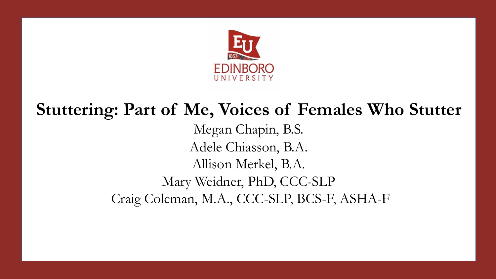

# **Stuttering: Part of Me, Voices of Females Who Stutter**

Megan Chapin, B.S. Adele Chiasson, B.A. Allison Merkel, B.A. Mary Weidner, PhD, CCC-SLP Craig Coleman, M.A., CCC-SLP, BCS-F, ASHA-F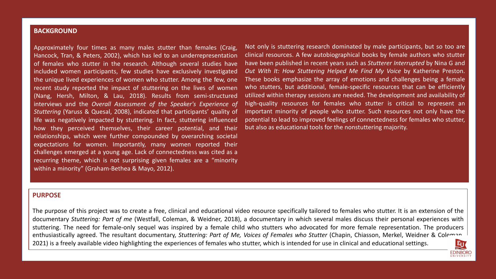#### **BACKGROUND**

Kang, Hersh, Milton, & Lau, 2018). Results from semi-structured how they perceived themselves, their career potential, and their but-also-as-educational-tools-for-the-nonstuttering-majority. documentary in which several males discussions of the need for females with studies with studies with studies w<br>The need for female-only in the need for female-only women reported their controlled the need for female and t sequel was inspired by a female producers of more female representation. The producers who advocated for more female representation. The producers in the producers in the producers was cited as a sequel was cited as a sequ recurring theme, which is not surprising given females are a "minority" and Stuttering: Part of Part of Part of Me, Voices of Females are a "minority" and Stutter and Stutter and Stutter and Stutter and Stutter and Stutter Chiasson, Merkel, Weidner Berkel, Weidner & Coleman, Merkel, Weidner available video highlighting the experiences of females who have been available video highlighting the experiences of females who have been also been als Approximately four times as many males stutter than females (Craig, Hancock, Tran, & Peters, 2002), which has led to an underrepresentation of females who stutter in the research. Although several studies have included women participants, few studies have exclusively investigated the unique lived experiences of women who stutter. Among the few, one recent study reported the impact of stuttering on the lives of women interviews and the *Overall Assessment of the Speaker's Experience of Stuttering* (Yaruss & Quesal, 2008), indicated that participants' quality of life was negatively impacted by stuttering. In fact, stuttering influenced relationships, which were further compounded by overarching societal within a minority" (Graham-Bethea & Mayo, 2012).

stutter, which is intended for use in clinical and education in clinical and educational settings. The setting

Iffe was negatively impacted by stuttering. In fact, stuttering influenced potential to lead to improved feelings of connectedness for females who stutter, Not only is stuttering research dominated by male participants, but so too are clinical resources. A few autobiographical books by female authors who stutter have been published in recent years such as *Stutterer Interrupted* by Nina G and *Out With It: How Stuttering Helped Me Find My Voice* by Katherine Preston. These books emphasize the array of emotions and challenges being a female who stutters, but additional, female-specific resources that can be efficiently utilized within therapy sessions are needed. The development and availability of high-quality resources for females who stutter is critical to represent an important minority of people who stutter. Such resources not only have the but also as educational tools for the nonstuttering majority.

**EDINBORG** 

#### **PURPOSE**

The purpose of this project was to create a free, clinical and educational video resource specifically tailored to females who stutter. It is an extension of the documentary *Stuttering: Part of me* (Westfall, Coleman, & Weidner, 2018), a documentary in which several males discuss their personal experiences with stuttering. The need for female-only sequel was inspired by a female child who stutters who advocated for more female representation. The producers enthusiastically agreed. The resultant documentary, *Stuttering: Part of Me, Voices of Females who Stutter* (Chapin, Chiasson, Merkel, Weidner & Coleman, 2021) is a freely available video highlighting the experiences of females who stutter, which is intended for use in clinical and educational settings.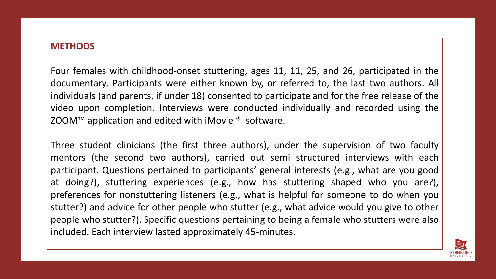### **METHODS**

**PURPO ZOOM™ application and edited with iMovie <sup>®</sup> software.** Four females with childhood-onset stuttering, ages 11, 11, 25, and 26, participated in the documentary. Participants were either known by, or referred to, the last two authors. All individuals (and parents, if under 18) consented to participate and for the free release of the video upon completion. Interviews were conducted individually and recorded using the

Three student clinicians (the first three authors), under the supervision of two faculty  $\vert$  $\vert$  mentors (the second two authors), carried out semi structured interviews with each participant. Questions pertained to participants' general interests (e.g., what are you good at doing?), stuttering experiences (e.g., how has stuttering shaped who you are?), preferences for nonstuttering listeners (e.g., what is helpful for someone to do when you stutter?) and advice for other people who stutter (e.g., what advice would you give to other people who stutter?). Specific questions pertaining to being a female who stutters were also included. Each interview lasted approximately 45-minutes.

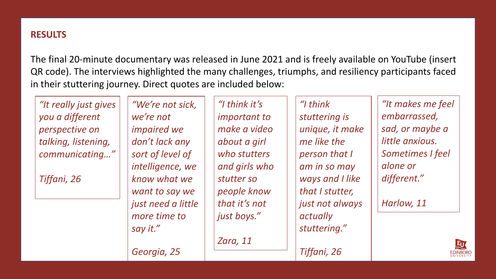## **RESULTS**

The final 20-minute documentary was released in June 2021 and is freely available on YouTube (insert QR code). The interviews highlighted the many challenges, triumphs, and resiliency participants faced in their stuttering journey. Direct quotes are included below:

**PURPOSE**  $\lceil$  taiking, iistening,  $\lceil$  aon't lack any  $\lceil$   $\rceil$  about a girl  $\lceil$   $\rceil$  me like the  $\lceil$   $\rceil$  iltue diixious.  $\bigm|$  communicating…"  $\bigm|$  sort of level of  $\bigm|$ *"It really just gives you a different perspective on talking, listening,* 

*Tiffani, 26*

*"We're not sick, we're not impaired we don't lack any sort of level of intelligence, we know what we want to say we just need a little more time to say it."* 

*Georgia, 25*

*"I think it's important to make a video about a girl who stutters and girls who stutter so people know that it's not just boys."*

*Zara, 11*

*"I think stuttering is unique, it make me like the person that I am in so may ways and I like that I stutter, just not always actually stuttering."*

*Tiffani, 26*

*"It makes me feel embarrassed, sad, or maybe a little anxious. Sometimes I feel alone or different."* 

*Harlow, 11*

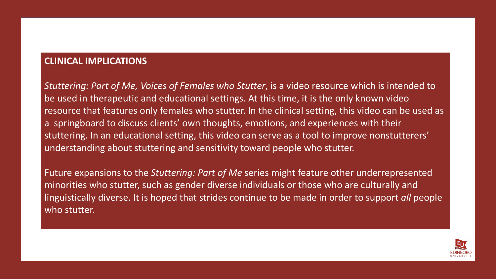### **CLINICAL IMPLICATIONS**

a springboard to discuss clients' own thoughts, emotions, and experiences with their understanding about stuttering and sensitivity toward people who stutter. who study is an extension of the documentary of the documentary of the documentary of the documentary of the documentary of the documentary of the documentary of the documentary of the documentary of the documentary of the *Stuttering: Part of Me, Voices of Females who Stutter*, is a video resource which is intended to be used in therapeutic and educational settings. At this time, it is the only known video resource that features only females who stutter. In the clinical setting, this video can be used as stuttering. In an educational setting, this video can serve as a tool to improve nonstutterers'

Future expansions to the *Stuttering: Part of Me* series might feature other underrepresented minorities who stutter, such as gender diverse individuals or those who are culturally and linguistically diverse. It is hoped that strides continue to be made in order to support *all* people who stutter.